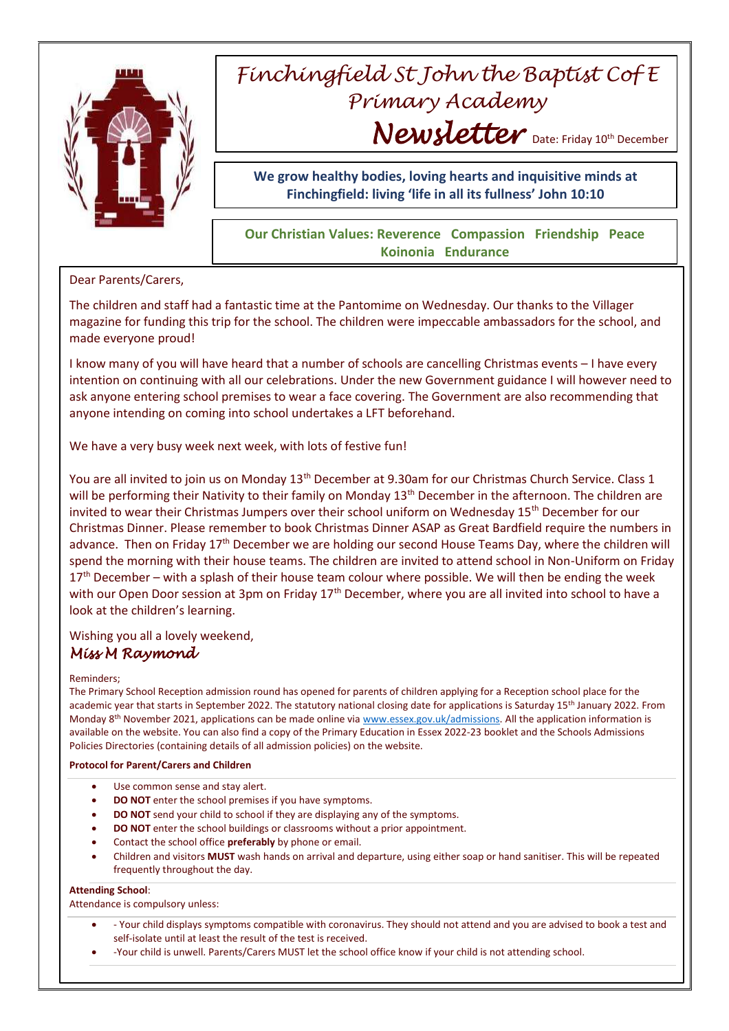

# *Finchingfield St John the Baptist Cof E Primary Academy* Newsletter Date: Friday 10<sup>th</sup> December

**We grow healthy bodies, loving hearts and inquisitive minds at Finchingfield: living 'life in all its fullness' John 10:10**

### **Our Christian Values: Reverence Compassion Friendship Peace Koinonia Endurance**

Dear Parents/Carers,

The children and staff had a fantastic time at the Pantomime on Wednesday. Our thanks to the Villager magazine for funding this trip for the school. The children were impeccable ambassadors for the school, and made everyone proud!

I know many of you will have heard that a number of schools are cancelling Christmas events – I have every intention on continuing with all our celebrations. Under the new Government guidance I will however need to ask anyone entering school premises to wear a face covering. The Government are also recommending that anyone intending on coming into school undertakes a LFT beforehand.

We have a very busy week next week, with lots of festive fun!

You are all invited to join us on Monday 13<sup>th</sup> December at 9.30am for our Christmas Church Service. Class 1 will be performing their Nativity to their family on Monday 13<sup>th</sup> December in the afternoon. The children are invited to wear their Christmas Jumpers over their school uniform on Wednesday 15<sup>th</sup> December for our Christmas Dinner. Please remember to book Christmas Dinner ASAP as Great Bardfield require the numbers in advance. Then on Friday  $17<sup>th</sup>$  December we are holding our second House Teams Day, where the children will spend the morning with their house teams. The children are invited to attend school in Non-Uniform on Friday  $17<sup>th</sup>$  December – with a splash of their house team colour where possible. We will then be ending the week with our Open Door session at 3pm on Friday 17<sup>th</sup> December, where you are all invited into school to have a look at the children's learning.

## Wishing you all a lovely weekend,

## *Miss M Raymond*

#### Reminders;

The Primary School Reception admission round has opened for parents of children applying for a Reception school place for the academic year that starts in September 2022. The statutory national closing date for applications is Saturday 15<sup>th</sup> January 2022. From Monday 8<sup>th</sup> November 2021, applications can be made online vi[a www.essex.gov.uk/admissions.](http://www.essex.gov.uk/admissions) All the application information is available on the website. You can also find a copy of the Primary Education in Essex 2022-23 booklet and the Schools Admissions Policies Directories (containing details of all admission policies) on the website.

**Protocol for Parent/Carers and Children**

- Use common sense and stay alert.
- **DO NOT** enter the school premises if you have symptoms.
- **DO NOT** send your child to school if they are displaying any of the symptoms.
- **DO NOT** enter the school buildings or classrooms without a prior appointment.
- Contact the school office **preferably** by phone or email.
- Children and visitors **MUST** wash hands on arrival and departure, using either soap or hand sanitiser. This will be repeated frequently throughout the day.

#### **Attending School**:

Attendance is compulsory unless:

- Your child displays symptoms compatible with coronavirus. They should not attend and you are advised to book a test and self-isolate until at least the result of the test is received.
- -Your child is unwell. Parents/Carers MUST let the school office know if your child is not attending school.